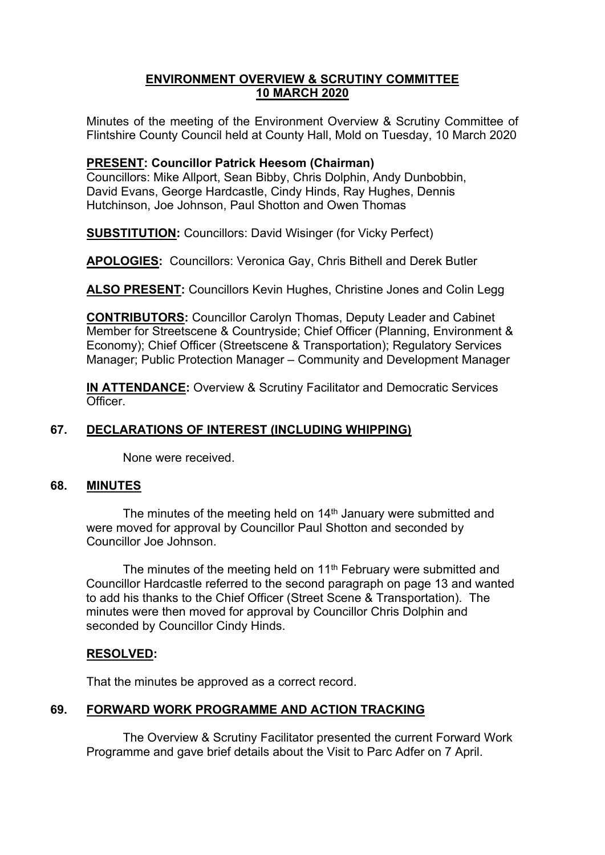## **ENVIRONMENT OVERVIEW & SCRUTINY COMMITTEE 10 MARCH 2020**

Minutes of the meeting of the Environment Overview & Scrutiny Committee of Flintshire County Council held at County Hall, Mold on Tuesday, 10 March 2020

## **PRESENT: Councillor Patrick Heesom (Chairman)**

Councillors: Mike Allport, Sean Bibby, Chris Dolphin, Andy Dunbobbin, David Evans, George Hardcastle, Cindy Hinds, Ray Hughes, Dennis Hutchinson, Joe Johnson, Paul Shotton and Owen Thomas

**SUBSTITUTION:** Councillors: David Wisinger (for Vicky Perfect)

**APOLOGIES:** Councillors: Veronica Gay, Chris Bithell and Derek Butler

**ALSO PRESENT:** Councillors Kevin Hughes, Christine Jones and Colin Legg

**CONTRIBUTORS:** Councillor Carolyn Thomas, Deputy Leader and Cabinet Member for Streetscene & Countryside; Chief Officer (Planning, Environment & Economy); Chief Officer (Streetscene & Transportation); Regulatory Services Manager; Public Protection Manager – Community and Development Manager

**IN ATTENDANCE:** Overview & Scrutiny Facilitator and Democratic Services Officer.

# **67. DECLARATIONS OF INTEREST (INCLUDING WHIPPING)**

None were received.

#### **68. MINUTES**

The minutes of the meeting held on 14<sup>th</sup> January were submitted and were moved for approval by Councillor Paul Shotton and seconded by Councillor Joe Johnson.

The minutes of the meeting held on 11<sup>th</sup> February were submitted and Councillor Hardcastle referred to the second paragraph on page 13 and wanted to add his thanks to the Chief Officer (Street Scene & Transportation). The minutes were then moved for approval by Councillor Chris Dolphin and seconded by Councillor Cindy Hinds.

# **RESOLVED:**

That the minutes be approved as a correct record.

# **69. FORWARD WORK PROGRAMME AND ACTION TRACKING**

The Overview & Scrutiny Facilitator presented the current Forward Work Programme and gave brief details about the Visit to Parc Adfer on 7 April.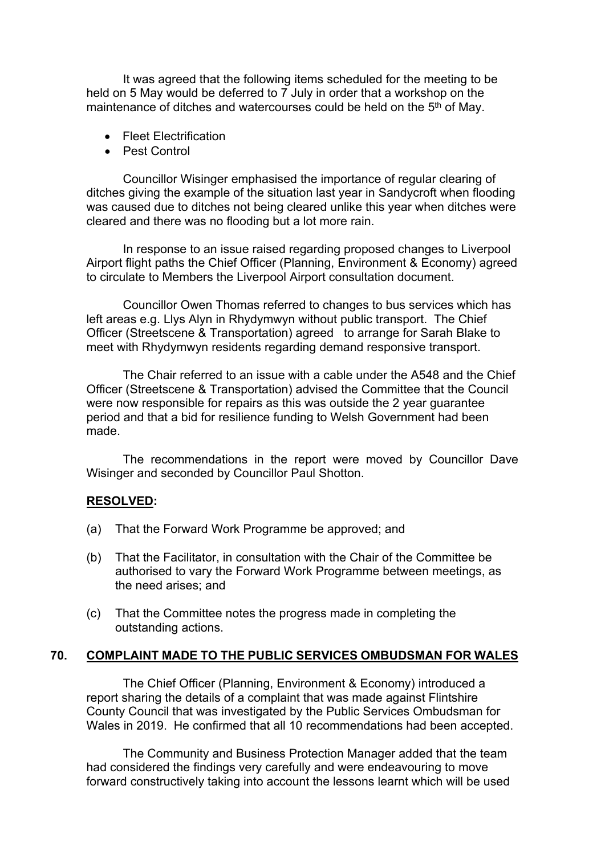It was agreed that the following items scheduled for the meeting to be held on 5 May would be deferred to 7 July in order that a workshop on the maintenance of ditches and watercourses could be held on the 5<sup>th</sup> of May.

- Fleet Electrification
- Pest Control

Councillor Wisinger emphasised the importance of regular clearing of ditches giving the example of the situation last year in Sandycroft when flooding was caused due to ditches not being cleared unlike this year when ditches were cleared and there was no flooding but a lot more rain.

In response to an issue raised regarding proposed changes to Liverpool Airport flight paths the Chief Officer (Planning, Environment & Economy) agreed to circulate to Members the Liverpool Airport consultation document.

Councillor Owen Thomas referred to changes to bus services which has left areas e.g. Llys Alyn in Rhydymwyn without public transport. The Chief Officer (Streetscene & Transportation) agreed to arrange for Sarah Blake to meet with Rhydymwyn residents regarding demand responsive transport.

The Chair referred to an issue with a cable under the A548 and the Chief Officer (Streetscene & Transportation) advised the Committee that the Council were now responsible for repairs as this was outside the 2 year guarantee period and that a bid for resilience funding to Welsh Government had been made.

The recommendations in the report were moved by Councillor Dave Wisinger and seconded by Councillor Paul Shotton.

#### **RESOLVED:**

- (a) That the Forward Work Programme be approved; and
- (b) That the Facilitator, in consultation with the Chair of the Committee be authorised to vary the Forward Work Programme between meetings, as the need arises; and
- (c) That the Committee notes the progress made in completing the outstanding actions.

#### **70. COMPLAINT MADE TO THE PUBLIC SERVICES OMBUDSMAN FOR WALES**

The Chief Officer (Planning, Environment & Economy) introduced a report sharing the details of a complaint that was made against Flintshire County Council that was investigated by the Public Services Ombudsman for Wales in 2019. He confirmed that all 10 recommendations had been accepted.

The Community and Business Protection Manager added that the team had considered the findings very carefully and were endeavouring to move forward constructively taking into account the lessons learnt which will be used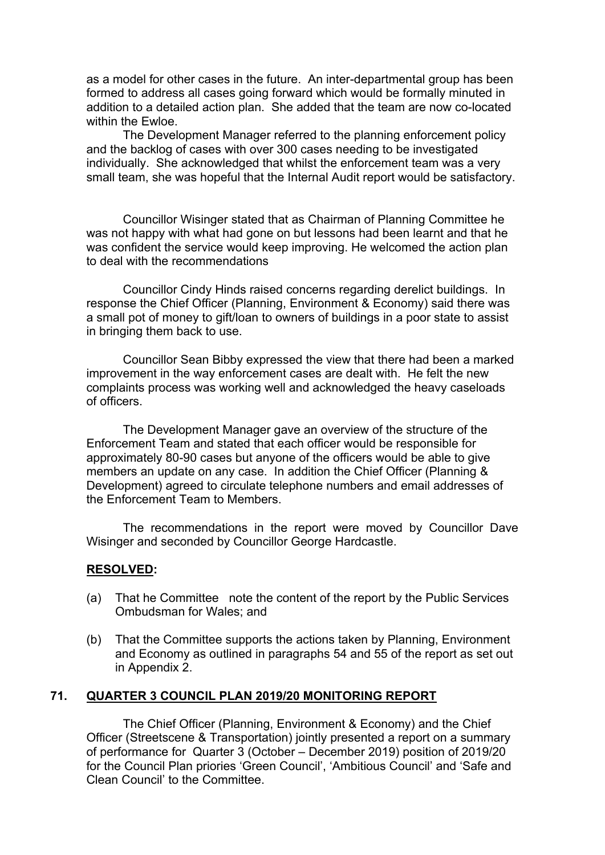as a model for other cases in the future. An inter-departmental group has been formed to address all cases going forward which would be formally minuted in addition to a detailed action plan. She added that the team are now co-located within the Ewloe.

The Development Manager referred to the planning enforcement policy and the backlog of cases with over 300 cases needing to be investigated individually. She acknowledged that whilst the enforcement team was a very small team, she was hopeful that the Internal Audit report would be satisfactory.

Councillor Wisinger stated that as Chairman of Planning Committee he was not happy with what had gone on but lessons had been learnt and that he was confident the service would keep improving. He welcomed the action plan to deal with the recommendations

Councillor Cindy Hinds raised concerns regarding derelict buildings. In response the Chief Officer (Planning, Environment & Economy) said there was a small pot of money to gift/loan to owners of buildings in a poor state to assist in bringing them back to use.

Councillor Sean Bibby expressed the view that there had been a marked improvement in the way enforcement cases are dealt with. He felt the new complaints process was working well and acknowledged the heavy caseloads of officers.

The Development Manager gave an overview of the structure of the Enforcement Team and stated that each officer would be responsible for approximately 80-90 cases but anyone of the officers would be able to give members an update on any case. In addition the Chief Officer (Planning & Development) agreed to circulate telephone numbers and email addresses of the Enforcement Team to Members.

The recommendations in the report were moved by Councillor Dave Wisinger and seconded by Councillor George Hardcastle.

#### **RESOLVED:**

- (a) That he Committee note the content of the report by the Public Services Ombudsman for Wales; and
- (b) That the Committee supports the actions taken by Planning, Environment and Economy as outlined in paragraphs 54 and 55 of the report as set out in Appendix 2.

### **71. QUARTER 3 COUNCIL PLAN 2019/20 MONITORING REPORT**

The Chief Officer (Planning, Environment & Economy) and the Chief Officer (Streetscene & Transportation) jointly presented a report on a summary of performance for Quarter 3 (October – December 2019) position of 2019/20 for the Council Plan priories 'Green Council', 'Ambitious Council' and 'Safe and Clean Council' to the Committee.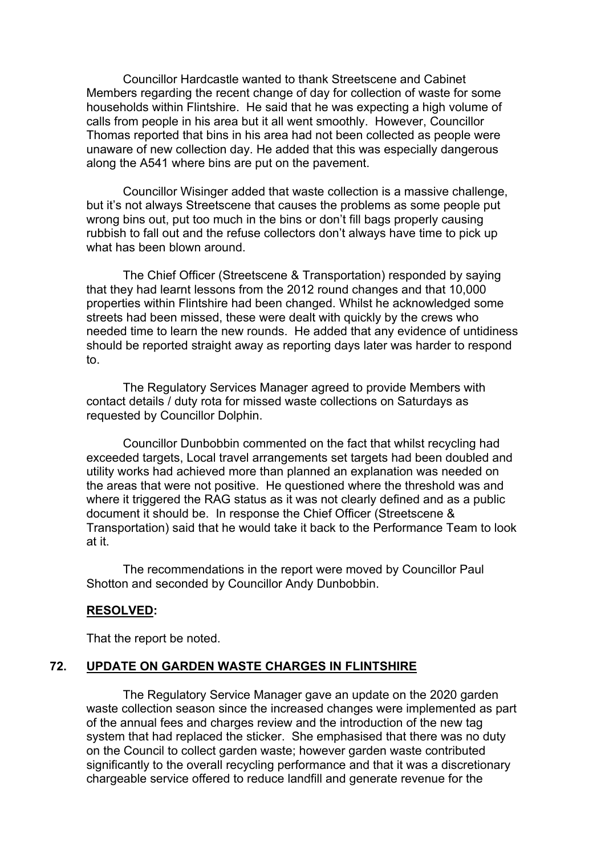Councillor Hardcastle wanted to thank Streetscene and Cabinet Members regarding the recent change of day for collection of waste for some households within Flintshire. He said that he was expecting a high volume of calls from people in his area but it all went smoothly. However, Councillor Thomas reported that bins in his area had not been collected as people were unaware of new collection day. He added that this was especially dangerous along the A541 where bins are put on the pavement.

Councillor Wisinger added that waste collection is a massive challenge, but it's not always Streetscene that causes the problems as some people put wrong bins out, put too much in the bins or don't fill bags properly causing rubbish to fall out and the refuse collectors don't always have time to pick up what has been blown around.

The Chief Officer (Streetscene & Transportation) responded by saying that they had learnt lessons from the 2012 round changes and that 10,000 properties within Flintshire had been changed. Whilst he acknowledged some streets had been missed, these were dealt with quickly by the crews who needed time to learn the new rounds. He added that any evidence of untidiness should be reported straight away as reporting days later was harder to respond to.

The Regulatory Services Manager agreed to provide Members with contact details / duty rota for missed waste collections on Saturdays as requested by Councillor Dolphin.

Councillor Dunbobbin commented on the fact that whilst recycling had exceeded targets, Local travel arrangements set targets had been doubled and utility works had achieved more than planned an explanation was needed on the areas that were not positive. He questioned where the threshold was and where it triggered the RAG status as it was not clearly defined and as a public document it should be. In response the Chief Officer (Streetscene & Transportation) said that he would take it back to the Performance Team to look at it.

The recommendations in the report were moved by Councillor Paul Shotton and seconded by Councillor Andy Dunbobbin.

#### **RESOLVED:**

That the report be noted.

## **72. UPDATE ON GARDEN WASTE CHARGES IN FLINTSHIRE**

The Regulatory Service Manager gave an update on the 2020 garden waste collection season since the increased changes were implemented as part of the annual fees and charges review and the introduction of the new tag system that had replaced the sticker. She emphasised that there was no duty on the Council to collect garden waste; however garden waste contributed significantly to the overall recycling performance and that it was a discretionary chargeable service offered to reduce landfill and generate revenue for the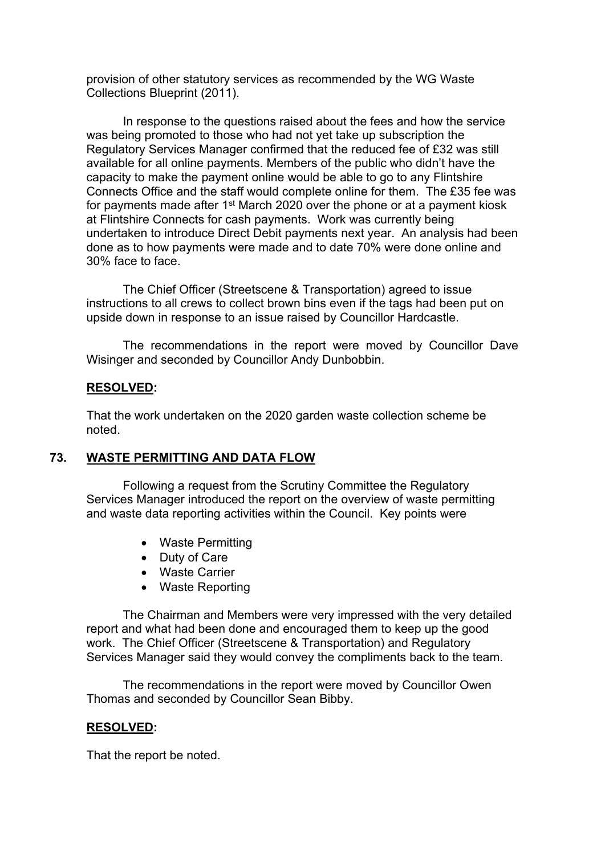provision of other statutory services as recommended by the WG Waste Collections Blueprint (2011).

In response to the questions raised about the fees and how the service was being promoted to those who had not yet take up subscription the Regulatory Services Manager confirmed that the reduced fee of £32 was still available for all online payments. Members of the public who didn't have the capacity to make the payment online would be able to go to any Flintshire Connects Office and the staff would complete online for them. The £35 fee was for payments made after 1 $^{\rm st}$  March 2020 over the phone or at a payment kiosk at Flintshire Connects for cash payments. Work was currently being undertaken to introduce Direct Debit payments next year. An analysis had been done as to how payments were made and to date 70% were done online and 30% face to face.

The Chief Officer (Streetscene & Transportation) agreed to issue instructions to all crews to collect brown bins even if the tags had been put on upside down in response to an issue raised by Councillor Hardcastle.

The recommendations in the report were moved by Councillor Dave Wisinger and seconded by Councillor Andy Dunbobbin.

#### **RESOLVED:**

That the work undertaken on the 2020 garden waste collection scheme be noted.

#### **73. WASTE PERMITTING AND DATA FLOW**

Following a request from the Scrutiny Committee the Regulatory Services Manager introduced the report on the overview of waste permitting and waste data reporting activities within the Council. Key points were

- Waste Permitting
- Duty of Care
- Waste Carrier
- Waste Reporting

The Chairman and Members were very impressed with the very detailed report and what had been done and encouraged them to keep up the good work. The Chief Officer (Streetscene & Transportation) and Regulatory Services Manager said they would convey the compliments back to the team.

The recommendations in the report were moved by Councillor Owen Thomas and seconded by Councillor Sean Bibby.

# **RESOLVED:**

That the report be noted.